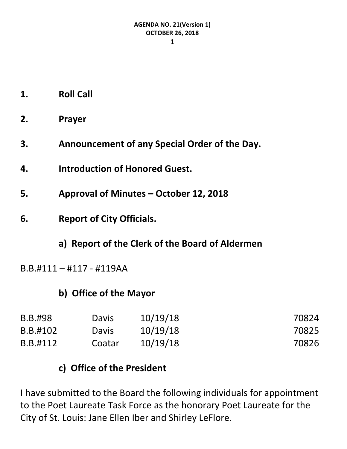- **1. Roll Call**
- **2. Prayer**
- **3. Announcement of any Special Order of the Day.**
- **4. Introduction of Honored Guest.**
- **5. Approval of Minutes – October 12, 2018**
- **6. Report of City Officials.**
	- **a) Report of the Clerk of the Board of Aldermen**
- B.B.#111 #117 #119AA

## **b) Office of the Mayor**

| B.B.#98  | Davis        | 10/19/18 | 70824 |
|----------|--------------|----------|-------|
| B.B.#102 | <b>Davis</b> | 10/19/18 | 70825 |
| B.B.#112 | Coatar       | 10/19/18 | 70826 |

## **c) Office of the President**

I have submitted to the Board the following individuals for appointment to the Poet Laureate Task Force as the honorary Poet Laureate for the City of St. Louis: Jane Ellen Iber and Shirley LeFlore.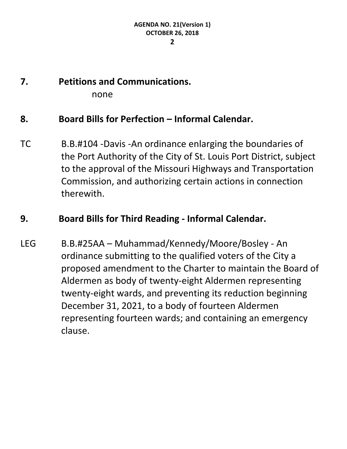#### **2**

# **7. Petitions and Communications.**

none

### **8. Board Bills for Perfection – Informal Calendar.**

TC B.B.#104 -Davis -An ordinance enlarging the boundaries of the Port Authority of the City of St. Louis Port District, subject to the approval of the Missouri Highways and Transportation Commission, and authorizing certain actions in connection therewith.

## **9. Board Bills for Third Reading - Informal Calendar.**

LEG B.B.#25AA – Muhammad/Kennedy/Moore/Bosley - An ordinance submitting to the qualified voters of the City a proposed amendment to the Charter to maintain the Board of Aldermen as body of twenty-eight Aldermen representing twenty-eight wards, and preventing its reduction beginning December 31, 2021, to a body of fourteen Aldermen representing fourteen wards; and containing an emergency clause.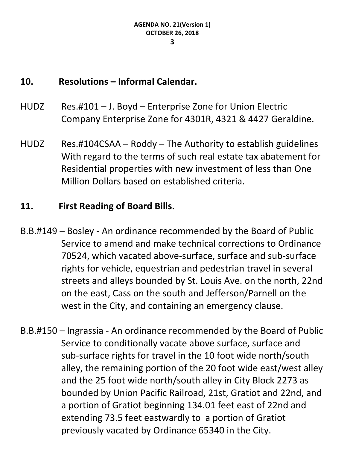## **10. Resolutions – Informal Calendar.**

- HUDZ Res.#101 J. Boyd Enterprise Zone for Union Electric Company Enterprise Zone for 4301R, 4321 & 4427 Geraldine.
- HUDZ Res.#104CSAA Roddy The Authority to establish guidelines With regard to the terms of such real estate tax abatement for Residential properties with new investment of less than One Million Dollars based on established criteria.

## **11. First Reading of Board Bills.**

- B.B.#149 Bosley An ordinance recommended by the Board of Public Service to amend and make technical corrections to Ordinance 70524, which vacated above-surface, surface and sub-surface rights for vehicle, equestrian and pedestrian travel in several streets and alleys bounded by St. Louis Ave. on the north, 22nd on the east, Cass on the south and Jefferson/Parnell on the west in the City, and containing an emergency clause.
- B.B.#150 Ingrassia An ordinance recommended by the Board of Public Service to conditionally vacate above surface, surface and sub-surface rights for travel in the 10 foot wide north/south alley, the remaining portion of the 20 foot wide east/west alley and the 25 foot wide north/south alley in City Block 2273 as bounded by Union Pacific Railroad, 21st, Gratiot and 22nd, and a portion of Gratiot beginning 134.01 feet east of 22nd and extending 73.5 feet eastwardly to a portion of Gratiot previously vacated by Ordinance 65340 in the City.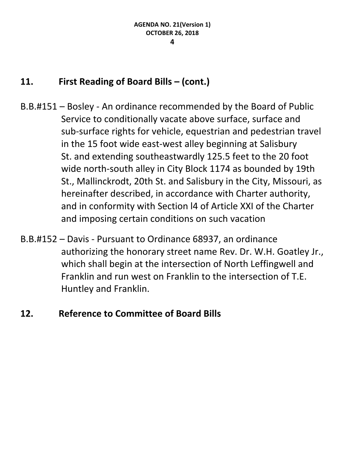## **11. First Reading of Board Bills – (cont.)**

- B.B.#151 Bosley An ordinance recommended by the Board of Public Service to conditionally vacate above surface, surface and sub-surface rights for vehicle, equestrian and pedestrian travel in the 15 foot wide east-west alley beginning at Salisbury St. and extending southeastwardly 125.5 feet to the 20 foot wide north-south alley in City Block 1174 as bounded by 19th St., Mallinckrodt, 20th St. and Salisbury in the City, Missouri, as hereinafter described, in accordance with Charter authority, and in conformity with Section l4 of Article XXI of the Charter and imposing certain conditions on such vacation
- B.B.#152 Davis Pursuant to Ordinance 68937, an ordinance authorizing the honorary street name Rev. Dr. W.H. Goatley Jr., which shall begin at the intersection of North Leffingwell and Franklin and run west on Franklin to the intersection of T.E. Huntley and Franklin.

## **12. Reference to Committee of Board Bills**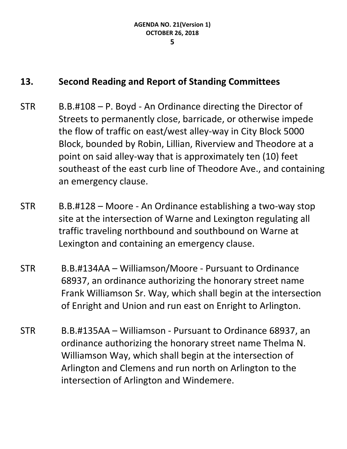## **13. Second Reading and Report of Standing Committees**

- STR B.B.#108 P. Boyd An Ordinance directing the Director of Streets to permanently close, barricade, or otherwise impede the flow of traffic on east/west alley-way in City Block 5000 Block, bounded by Robin, Lillian, Riverview and Theodore at a point on said alley-way that is approximately ten (10) feet southeast of the east curb line of Theodore Ave., and containing an emergency clause.
- STR B.B.#128 Moore An Ordinance establishing a two-way stop site at the intersection of Warne and Lexington regulating all traffic traveling northbound and southbound on Warne at Lexington and containing an emergency clause.
- STR B.B.#134AA Williamson/Moore Pursuant to Ordinance 68937, an ordinance authorizing the honorary street name Frank Williamson Sr. Way, which shall begin at the intersection of Enright and Union and run east on Enright to Arlington.
- STR B.B.#135AA Williamson Pursuant to Ordinance 68937, an ordinance authorizing the honorary street name Thelma N. Williamson Way, which shall begin at the intersection of Arlington and Clemens and run north on Arlington to the intersection of Arlington and Windemere.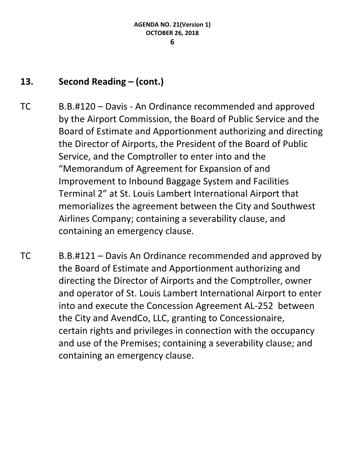# **13. Second Reading – (cont.)**

- TC B.B.#120 Davis An Ordinance recommended and approved by the Airport Commission, the Board of Public Service and the Board of Estimate and Apportionment authorizing and directing the Director of Airports, the President of the Board of Public Service, and the Comptroller to enter into and the "Memorandum of Agreement for Expansion of and Improvement to Inbound Baggage System and Facilities Terminal 2" at St. Louis Lambert International Airport that memorializes the agreement between the City and Southwest Airlines Company; containing a severability clause, and containing an emergency clause.
- TC B.B.#121 Davis An Ordinance recommended and approved by the Board of Estimate and Apportionment authorizing and directing the Director of Airports and the Comptroller, owner and operator of St. Louis Lambert International Airport to enter into and execute the Concession Agreement AL-252 between the City and AvendCo, LLC, granting to Concessionaire, certain rights and privileges in connection with the occupancy and use of the Premises; containing a severability clause; and containing an emergency clause.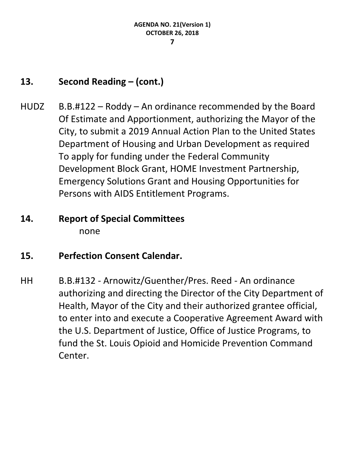# **13. Second Reading – (cont.)**

 $HUDZ$  B.B.#122 – Roddy – An ordinance recommended by the Board Of Estimate and Apportionment, authorizing the Mayor of the City, to submit a 2019 Annual Action Plan to the United States Department of Housing and Urban Development as required To apply for funding under the Federal Community Development Block Grant, HOME Investment Partnership, Emergency Solutions Grant and Housing Opportunities for Persons with AIDS Entitlement Programs.

# **14. Report of Special Committees** none

# **15. Perfection Consent Calendar.**

HH B.B.#132 - Arnowitz/Guenther/Pres. Reed - An ordinance authorizing and directing the Director of the City Department of Health, Mayor of the City and their authorized grantee official, to enter into and execute a Cooperative Agreement Award with the U.S. Department of Justice, Office of Justice Programs, to fund the St. Louis Opioid and Homicide Prevention Command Center.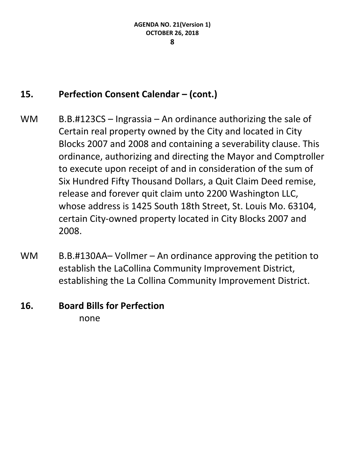## **15. Perfection Consent Calendar – (cont.)**

- WM  $B.B. #123CS Ingrassia An ordinance authorizing the sale of$ Certain real property owned by the City and located in City Blocks 2007 and 2008 and containing a severability clause. This ordinance, authorizing and directing the Mayor and Comptroller to execute upon receipt of and in consideration of the sum of Six Hundred Fifty Thousand Dollars, a Quit Claim Deed remise, release and forever quit claim unto 2200 Washington LLC, whose address is 1425 South 18th Street, St. Louis Mo. 63104, certain City-owned property located in City Blocks 2007 and 2008.
- WM B.B.#130AA– Vollmer An ordinance approving the petition to establish the LaCollina Community Improvement District, establishing the La Collina Community Improvement District.

## **16. Board Bills for Perfection** none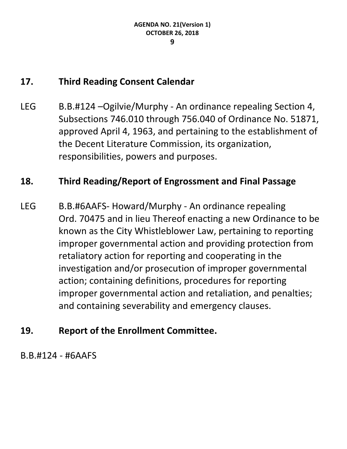## **17. Third Reading Consent Calendar**

LEG B.B.#124 – Ogilvie/Murphy - An ordinance repealing Section 4, Subsections 746.010 through 756.040 of Ordinance No. 51871, approved April 4, 1963, and pertaining to the establishment of the Decent Literature Commission, its organization, responsibilities, powers and purposes.

## **18. Third Reading/Report of Engrossment and Final Passage**

LEG B.B.#6AAFS- Howard/Murphy - An ordinance repealing Ord. 70475 and in lieu Thereof enacting a new Ordinance to be known as the City Whistleblower Law, pertaining to reporting improper governmental action and providing protection from retaliatory action for reporting and cooperating in the investigation and/or prosecution of improper governmental action; containing definitions, procedures for reporting improper governmental action and retaliation, and penalties; and containing severability and emergency clauses.

# **19. Report of the Enrollment Committee.**

B.B.#124 - #6AAFS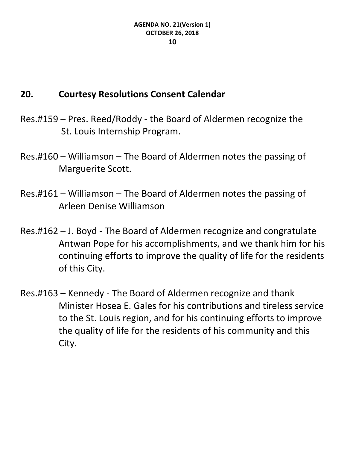# **20. Courtesy Resolutions Consent Calendar**

- Res.#159 Pres. Reed/Roddy the Board of Aldermen recognize the St. Louis Internship Program.
- Res.#160 Williamson The Board of Aldermen notes the passing of Marguerite Scott.
- Res.#161 Williamson The Board of Aldermen notes the passing of Arleen Denise Williamson
- Res.#162 J. Boyd The Board of Aldermen recognize and congratulate Antwan Pope for his accomplishments, and we thank him for his continuing efforts to improve the quality of life for the residents of this City.
- Res.#163 Kennedy The Board of Aldermen recognize and thank Minister Hosea E. Gales for his contributions and tireless service to the St. Louis region, and for his continuing efforts to improve the quality of life for the residents of his community and this City.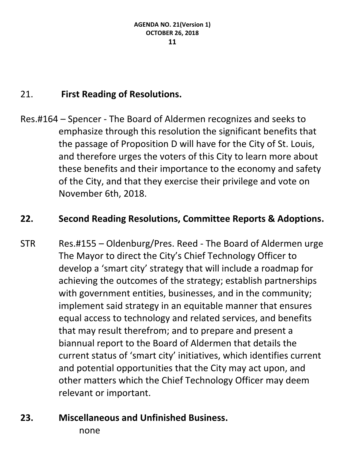# 21. **First Reading of Resolutions.**

Res.#164 – Spencer - The Board of Aldermen recognizes and seeks to emphasize through this resolution the significant benefits that the passage of Proposition D will have for the City of St. Louis, and therefore urges the voters of this City to learn more about these benefits and their importance to the economy and safety of the City, and that they exercise their privilege and vote on November 6th, 2018.

## **22. Second Reading Resolutions, Committee Reports & Adoptions.**

- STR Res.#155 Oldenburg/Pres. Reed The Board of Aldermen urge The Mayor to direct the City's Chief Technology Officer to develop a 'smart city' strategy that will include a roadmap for achieving the outcomes of the strategy; establish partnerships with government entities, businesses, and in the community; implement said strategy in an equitable manner that ensures equal access to technology and related services, and benefits that may result therefrom; and to prepare and present a biannual report to the Board of Aldermen that details the current status of 'smart city' initiatives, which identifies current and potential opportunities that the City may act upon, and other matters which the Chief Technology Officer may deem relevant or important.
- **23. Miscellaneous and Unfinished Business.**

none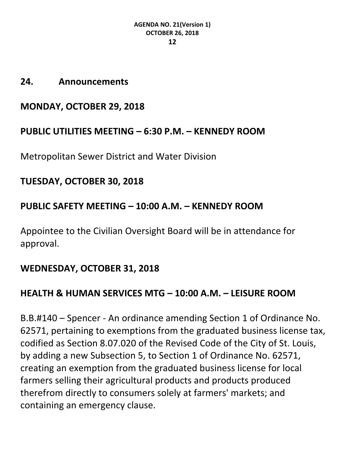#### **24. Announcements**

## **MONDAY, OCTOBER 29, 2018**

## **PUBLIC UTILITIES MEETING – 6:30 P.M. – KENNEDY ROOM**

Metropolitan Sewer District and Water Division

## **TUESDAY, OCTOBER 30, 2018**

## **PUBLIC SAFETY MEETING – 10:00 A.M. – KENNEDY ROOM**

Appointee to the Civilian Oversight Board will be in attendance for approval.

## **WEDNESDAY, OCTOBER 31, 2018**

# **HEALTH & HUMAN SERVICES MTG – 10:00 A.M. – LEISURE ROOM**

B.B.#140 – Spencer - An ordinance amending Section 1 of Ordinance No. 62571, pertaining to exemptions from the graduated business license tax, codified as Section 8.07.020 of the Revised Code of the City of St. Louis, by adding a new Subsection 5, to Section 1 of Ordinance No. 62571, creating an exemption from the graduated business license for local farmers selling their agricultural products and products produced therefrom directly to consumers solely at farmers' markets; and containing an emergency clause.